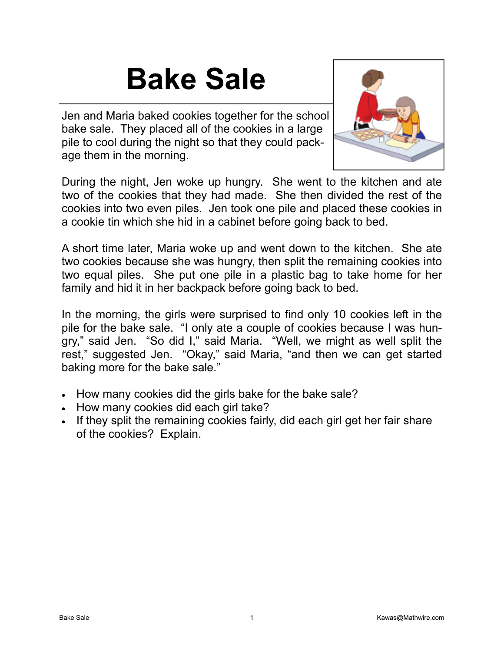## **Bake Sale**

Jen and Maria baked cookies together for the school bake sale. They placed all of the cookies in a large pile to cool during the night so that they could package them in the morning.



During the night, Jen woke up hungry. She went to the kitchen and ate two of the cookies that they had made. She then divided the rest of the cookies into two even piles. Jen took one pile and placed these cookies in a cookie tin which she hid in a cabinet before going back to bed.

A short time later, Maria woke up and went down to the kitchen. She ate two cookies because she was hungry, then split the remaining cookies into two equal piles. She put one pile in a plastic bag to take home for her family and hid it in her backpack before going back to bed.

In the morning, the girls were surprised to find only 10 cookies left in the pile for the bake sale. "I only ate a couple of cookies because I was hungry," said Jen. "So did I," said Maria. "Well, we might as well split the rest," suggested Jen. "Okay," said Maria, "and then we can get started baking more for the bake sale."

- How many cookies did the girls bake for the bake sale?
- How many cookies did each girl take?
- If they split the remaining cookies fairly, did each girl get her fair share of the cookies? Explain.